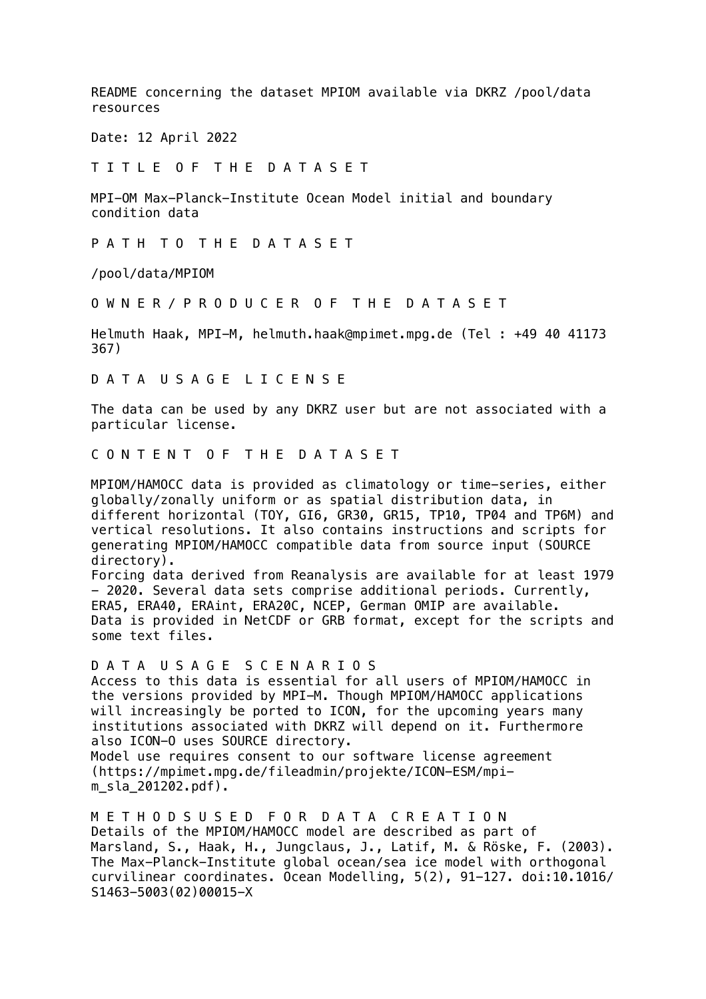README concerning the dataset MPIOM available via DKRZ /pool/data resources

Date: 12 April 2022

T I T L E O F T H E D A T A S E T

MPI-OM Max-Planck-Institute Ocean Model initial and boundary condition data

P A T H T O T H E D A T A S E T

/pool/data/MPIOM

some text files.

O W N E R / P R O D U C E R O F T H E D A T A S E T

Helmuth Haak, MPI-M, helmuth.haak@mpimet.mpg.de (Tel : +49 40 41173 367)

D A T A U S A G E L I C E N S E

The data can be used by any DKRZ user but are not associated with a particular license.

C O N T E N T O F T H E D A T A S E T

MPIOM/HAMOCC data is provided as climatology or time-series, either globally/zonally uniform or as spatial distribution data, in different horizontal (TOY, GI6, GR30, GR15, TP10, TP04 and TP6M) and vertical resolutions. It also contains instructions and scripts for generating MPIOM/HAMOCC compatible data from source input (SOURCE directory). Forcing data derived from Reanalysis are available for at least 1979 - 2020. Several data sets comprise additional periods. Currently, ERA5, ERA40, ERAint, ERA20C, NCEP, German OMIP are available. Data is provided in NetCDF or GRB format, except for the scripts and

D A T A U S A G E S C E N A R I O S Access to this data is essential for all users of MPIOM/HAMOCC in the versions provided by MPI-M. Though MPIOM/HAMOCC applications will increasingly be ported to ICON, for the upcoming years many institutions associated with DKRZ will depend on it. Furthermore also ICON-O uses SOURCE directory. Model use requires consent to our software license agreement (https://mpimet.mpg.de/fileadmin/projekte/ICON-ESM/mpim\_sla\_201202.pdf).

M E T H O D S U S E D F O R D A T A C R E A T I O N Details of the MPIOM/HAMOCC model are described as part of Marsland, S., Haak, H., Jungclaus, J., Latif, M. & Röske, F. (2003). The Max-Planck-Institute global ocean/sea ice model with orthogonal curvilinear coordinates. Ocean Modelling, 5(2), 91-127. doi:10.1016/ S1463-5003(02)00015-X